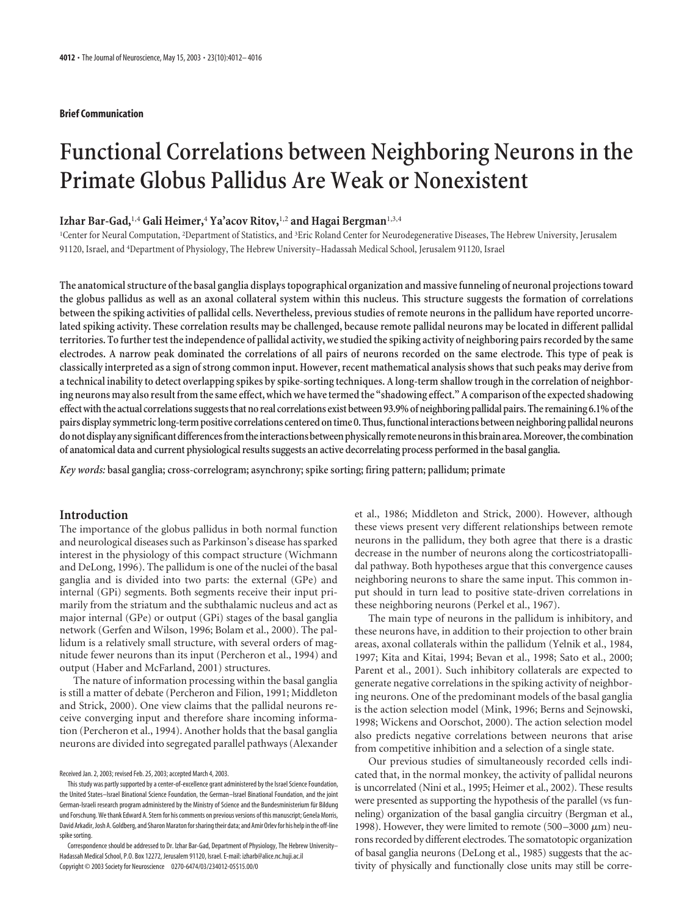## **Brief Communication**

# **Functional Correlations between Neighboring Neurons in the Primate Globus Pallidus Are Weak or Nonexistent**

# **Izhar Bar-Gad,**1,4 **Gali Heimer,**<sup>4</sup> **Ya'acov Ritov,**1,2 **and Hagai Bergman**1,3,4

<sup>1</sup>Center for Neural Computation, <sup>2</sup>Department of Statistics, and <sup>3</sup>Eric Roland Center for Neurodegenerative Diseases, The Hebrew University, Jerusalem 91120, Israel, and <sup>4</sup> Department of Physiology, The Hebrew University–Hadassah Medical School, Jerusalem 91120, Israel

**The anatomical structure of the basal ganglia displays topographical organization and massive funneling of neuronal projections toward the globus pallidus as well as an axonal collateral system within this nucleus. This structure suggests the formation of correlations between the spiking activities of pallidal cells. Nevertheless, previous studies of remote neurons in the pallidum have reported uncorrelated spiking activity. These correlation results may be challenged, because remote pallidal neurons may be located in different pallidal territories. To further test the independence of pallidal activity, we studied the spiking activity of neighboring pairs recorded by the same electrodes. A narrow peak dominated the correlations of all pairs of neurons recorded on the same electrode. This type of peak is classically interpreted as a sign of strong common input. However, recent mathematical analysis shows that such peaks may derive from a technical inability to detect overlapping spikes by spike-sorting techniques. A long-term shallow trough in the correlation of neighboring neurons may also result from the same effect, which we have termed the "shadowing effect." A comparison of the expected shadowing effect with the actual correlations suggests that no real correlations exist between 93.9% of neighboring pallidal pairs. The remaining 6.1% of the pairs display symmetric long-term positive correlations centered on time 0. Thus, functional interactions between neighboring pallidal neurons do not display any significant differences from the interactions between physically remote neurons in this brain area. Moreover, the combination of anatomical data and current physiological results suggests an active decorrelating process performed in the basal ganglia.**

*Key words:* **basal ganglia; cross-correlogram; asynchrony; spike sorting; firing pattern; pallidum; primate**

## **Introduction**

The importance of the globus pallidus in both normal function and neurological diseases such as Parkinson's disease has sparked interest in the physiology of this compact structure (Wichmann and DeLong, 1996). The pallidum is one of the nuclei of the basal ganglia and is divided into two parts: the external (GPe) and internal (GPi) segments. Both segments receive their input primarily from the striatum and the subthalamic nucleus and act as major internal (GPe) or output (GPi) stages of the basal ganglia network (Gerfen and Wilson, 1996; Bolam et al., 2000). The pallidum is a relatively small structure, with several orders of magnitude fewer neurons than its input (Percheron et al., 1994) and output (Haber and McFarland, 2001) structures.

The nature of information processing within the basal ganglia is still a matter of debate (Percheron and Filion, 1991; Middleton and Strick, 2000). One view claims that the pallidal neurons receive converging input and therefore share incoming information (Percheron et al., 1994). Another holds that the basal ganglia neurons are divided into segregated parallel pathways (Alexander

et al., 1986; Middleton and Strick, 2000). However, although these views present very different relationships between remote neurons in the pallidum, they both agree that there is a drastic decrease in the number of neurons along the corticostriatopallidal pathway. Both hypotheses argue that this convergence causes neighboring neurons to share the same input. This common input should in turn lead to positive state-driven correlations in these neighboring neurons (Perkel et al., 1967).

The main type of neurons in the pallidum is inhibitory, and these neurons have, in addition to their projection to other brain areas, axonal collaterals within the pallidum (Yelnik et al., 1984, 1997; Kita and Kitai, 1994; Bevan et al., 1998; Sato et al., 2000; Parent et al., 2001). Such inhibitory collaterals are expected to generate negative correlations in the spiking activity of neighboring neurons. One of the predominant models of the basal ganglia is the action selection model (Mink, 1996; Berns and Sejnowski, 1998; Wickens and Oorschot, 2000). The action selection model also predicts negative correlations between neurons that arise from competitive inhibition and a selection of a single state.

Our previous studies of simultaneously recorded cells indicated that, in the normal monkey, the activity of pallidal neurons is uncorrelated (Nini et al., 1995; Heimer et al., 2002). These results were presented as supporting the hypothesis of the parallel (vs funneling) organization of the basal ganglia circuitry (Bergman et al., 1998). However, they were limited to remote (500–3000  $\mu$ m) neurons recorded by different electrodes. The somatotopic organization of basal ganglia neurons (DeLong et al., 1985) suggests that the activity of physically and functionally close units may still be corre-

Received Jan. 2, 2003; revised Feb. 25, 2003; accepted March 4, 2003.

This study was partly supported by a center-of-excellence grant administered by the Israel Science Foundation, the United States–Israel Binational Science Foundation, the German–Israel Binational Foundation, and the joint German-Israeli research program administered by the Ministry of Science and the Bundesministerium für Bildung und Forschung. We thank Edward A. Stern for his comments on previous versions of this manuscript; Genela Morris, David Arkadir, Josh A. Goldberg, and Sharon Maraton for sharing their data; and Amir Orlev for his help in the off-line spike sorting.

Correspondence should be addressed to Dr. Izhar Bar-Gad, Department of Physiology, The Hebrew University– Hadassah Medical School, P.O. Box 12272, Jerusalem 91120, Israel. E-mail: izharb@alice.nc.huji.ac.il Copyright © 2003 Society for Neuroscience 0270-6474/03/234012-05\$15.00/0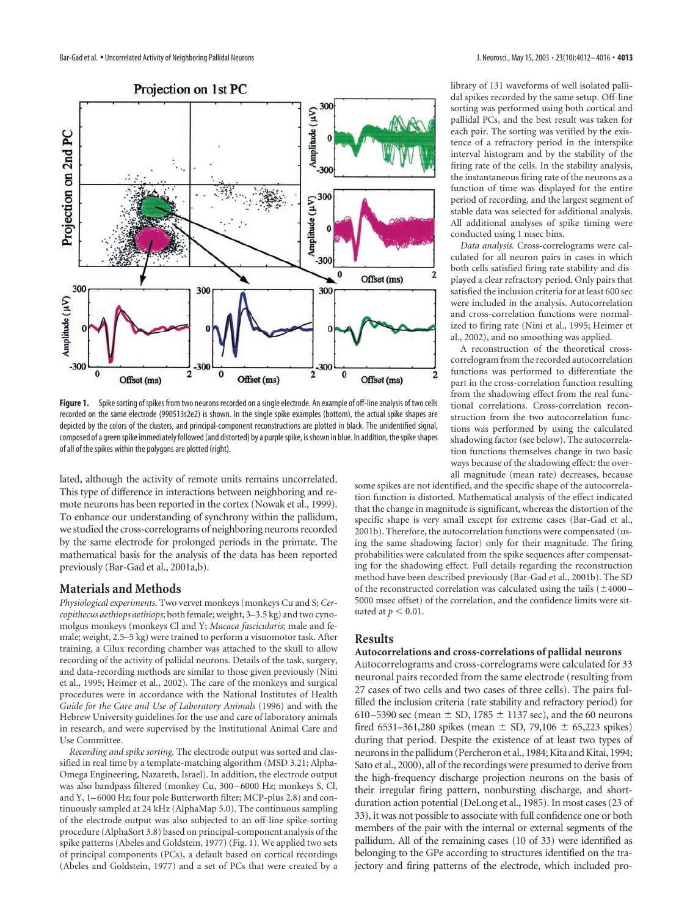

**Figure 1.** Spike sorting of spikes from two neurons recorded on a single electrode. An example of off-line analysis of two cells recorded on the same electrode (990513s2e2) is shown. In the single spike examples (bottom), the actual spike shapes are depicted by the colors of the clusters, and principal-component reconstructions are plotted in black. The unidentified signal, composed of a green spike immediately followed (and distorted) by a purple spike, is shown in blue. In addition, the spike shapes of all of the spikes within the polygons are plotted (right).

lated, although the activity of remote units remains uncorrelated. This type of difference in interactions between neighboring and remote neurons has been reported in the cortex (Nowak et al., 1999). To enhance our understanding of synchrony within the pallidum, we studied the cross-correlograms of neighboring neurons recorded by the same electrode for prolonged periods in the primate. The mathematical basis for the analysis of the data has been reported previously (Bar-Gad et al., 2001a,b).

## **Materials and Methods**

*Physiological experiments.* Two vervet monkeys (monkeys Cu and S; *Cercopithecus aethiops aethiops*; both female; weight, 3–3.5 kg) and two cynomolgus monkeys (monkeys Cl and Y; *Macaca fascicularis*; male and female; weight, 2.5–5 kg) were trained to perform a visuomotor task. After training, a Cilux recording chamber was attached to the skull to allow recording of the activity of pallidal neurons. Details of the task, surgery, and data-recording methods are similar to those given previously (Nini et al., 1995; Heimer et al., 2002). The care of the monkeys and surgical procedures were in accordance with the National Institutes of Health *Guide for the Care and Use of Laboratory Animals* (1996) and with the Hebrew University guidelines for the use and care of laboratory animals in research, and were supervised by the Institutional Animal Care and Use Committee.

*Recording and spike sorting.* The electrode output was sorted and classified in real time by a template-matching algorithm (MSD 3.21; Alpha-Omega Engineering, Nazareth, Israel). In addition, the electrode output was also bandpass filtered (monkey Cu, 300–6000 Hz; monkeys S, Cl, and Y, 1–6000 Hz; four pole Butterworth filter; MCP-plus 2.8) and continuously sampled at 24 kHz (AlphaMap 5.0). The continuous sampling of the electrode output was also subjected to an off-line spike-sorting procedure (AlphaSort 3.8) based on principal-component analysis of the spike patterns (Abeles and Goldstein, 1977) (Fig. 1). We applied two sets of principal components (PCs), a default based on cortical recordings (Abeles and Goldstein, 1977) and a set of PCs that were created by a

library of 131 waveforms of well isolated pallidal spikes recorded by the same setup. Off-line sorting was performed using both cortical and pallidal PCs, and the best result was taken for each pair. The sorting was verified by the existence of a refractory period in the interspike interval histogram and by the stability of the firing rate of the cells. In the stability analysis, the instantaneous firing rate of the neurons as a function of time was displayed for the entire period of recording, and the largest segment of stable data was selected for additional analysis. All additional analyses of spike timing were conducted using 1 msec bins.

*Data analysis.* Cross-correlograms were calculated for all neuron pairs in cases in which both cells satisfied firing rate stability and displayed a clear refractory period. Only pairs that satisfied the inclusion criteria for at least 600 sec were included in the analysis. Autocorrelation and cross-correlation functions were normalized to firing rate (Nini et al., 1995; Heimer et al., 2002), and no smoothing was applied.

A reconstruction of the theoretical crosscorrelogram from the recorded autocorrelation functions was performed to differentiate the part in the cross-correlation function resulting from the shadowing effect from the real functional correlations. Cross-correlation reconstruction from the two autocorrelation functions was performed by using the calculated shadowing factor (see below). The autocorrelation functions themselves change in two basic ways because of the shadowing effect: the overall magnitude (mean rate) decreases, because

some spikes are not identified, and the specific shape of the autocorrelation function is distorted. Mathematical analysis of the effect indicated that the change in magnitude is significant, whereas the distortion of the specific shape is very small except for extreme cases (Bar-Gad et al., 2001b). Therefore, the autocorrelation functions were compensated (using the same shadowing factor) only for their magnitude. The firing probabilities were calculated from the spike sequences after compensating for the shadowing effect. Full details regarding the reconstruction method have been described previously (Bar-Gad et al., 2001b). The SD of the reconstructed correlation was calculated using the tails  $(\pm 4000 -$ 5000 msec offset) of the correlation, and the confidence limits were situated at  $p < 0.01$ .

## **Results**

## **Autocorrelations and cross-correlations of pallidal neurons**

Autocorrelograms and cross-correlograms were calculated for 33 neuronal pairs recorded from the same electrode (resulting from 27 cases of two cells and two cases of three cells). The pairs fulfilled the inclusion criteria (rate stability and refractory period) for 610–5390 sec (mean  $\pm$  SD, 1785  $\pm$  1137 sec), and the 60 neurons fired 6531-361,280 spikes (mean  $\pm$  SD, 79,106  $\pm$  65,223 spikes) during that period. Despite the existence of at least two types of neurons in the pallidum (Percheron et al., 1984; Kita and Kitai, 1994; Sato et al., 2000), all of the recordings were presumed to derive from the high-frequency discharge projection neurons on the basis of their irregular firing pattern, nonbursting discharge, and shortduration action potential (DeLong et al., 1985). In most cases (23 of 33), it was not possible to associate with full confidence one or both members of the pair with the internal or external segments of the pallidum. All of the remaining cases (10 of 33) were identified as belonging to the GPe according to structures identified on the trajectory and firing patterns of the electrode, which included pro-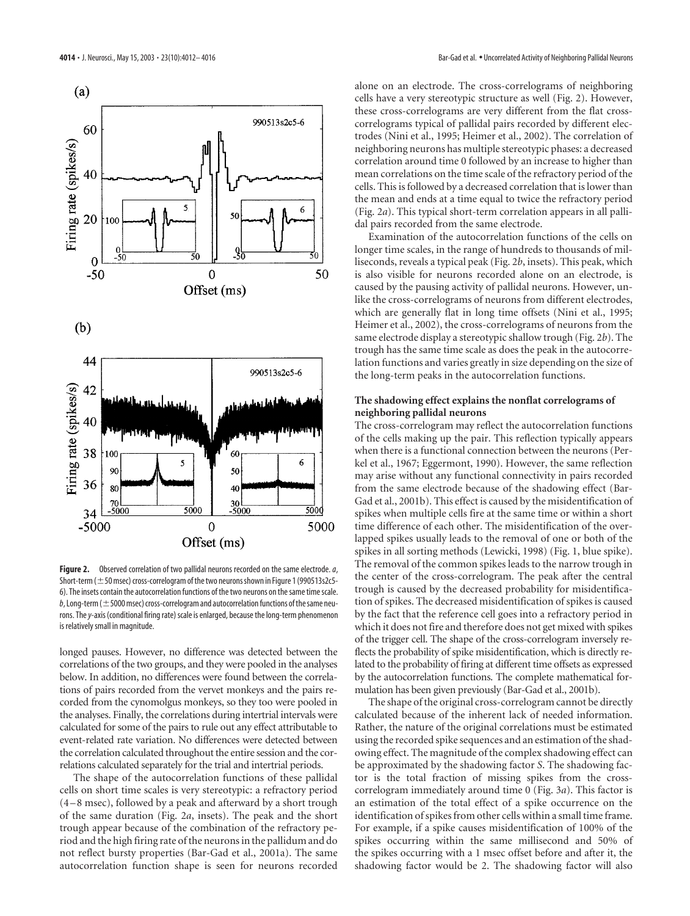

**Figure 2.** Observed correlation of two pallidal neurons recorded on the same electrode.*a*, Short-term ( $\pm$  50 msec) cross-correlogram of the two neurons shown in Figure 1 (990513s2c5-6). The insets contain the autocorrelation functions of the two neurons on the same time scale.  $b$ , Long-term ( $\pm$  5000 msec) cross-correlogram and autocorrelation functions of the same neurons. The*y*-axis (conditional firing rate) scale is enlarged, because the long-term phenomenon is relatively small in magnitude.

longed pauses. However, no difference was detected between the correlations of the two groups, and they were pooled in the analyses below. In addition, no differences were found between the correlations of pairs recorded from the vervet monkeys and the pairs recorded from the cynomolgus monkeys, so they too were pooled in the analyses. Finally, the correlations during intertrial intervals were calculated for some of the pairs to rule out any effect attributable to event-related rate variation. No differences were detected between the correlation calculated throughout the entire session and the correlations calculated separately for the trial and intertrial periods.

The shape of the autocorrelation functions of these pallidal cells on short time scales is very stereotypic: a refractory period (4–8 msec), followed by a peak and afterward by a short trough of the same duration (Fig. 2*a*, insets). The peak and the short trough appear because of the combination of the refractory period and the high firing rate of the neurons in the pallidum and do not reflect bursty properties (Bar-Gad et al., 2001a). The same autocorrelation function shape is seen for neurons recorded

alone on an electrode. The cross-correlograms of neighboring cells have a very stereotypic structure as well (Fig. 2). However, these cross-correlograms are very different from the flat crosscorrelograms typical of pallidal pairs recorded by different electrodes (Nini et al., 1995; Heimer et al., 2002). The correlation of neighboring neurons has multiple stereotypic phases: a decreased correlation around time 0 followed by an increase to higher than mean correlations on the time scale of the refractory period of the cells. This is followed by a decreased correlation that is lower than the mean and ends at a time equal to twice the refractory period (Fig. 2*a*). This typical short-term correlation appears in all pallidal pairs recorded from the same electrode.

Examination of the autocorrelation functions of the cells on longer time scales, in the range of hundreds to thousands of milliseconds, reveals a typical peak (Fig. 2*b*, insets). This peak, which is also visible for neurons recorded alone on an electrode, is caused by the pausing activity of pallidal neurons. However, unlike the cross-correlograms of neurons from different electrodes, which are generally flat in long time offsets (Nini et al., 1995; Heimer et al., 2002), the cross-correlograms of neurons from the same electrode display a stereotypic shallow trough (Fig. 2*b*). The trough has the same time scale as does the peak in the autocorrelation functions and varies greatly in size depending on the size of the long-term peaks in the autocorrelation functions.

## **The shadowing effect explains the nonflat correlograms of neighboring pallidal neurons**

The cross-correlogram may reflect the autocorrelation functions of the cells making up the pair. This reflection typically appears when there is a functional connection between the neurons (Perkel et al., 1967; Eggermont, 1990). However, the same reflection may arise without any functional connectivity in pairs recorded from the same electrode because of the shadowing effect (Bar-Gad et al., 2001b). This effect is caused by the misidentification of spikes when multiple cells fire at the same time or within a short time difference of each other. The misidentification of the overlapped spikes usually leads to the removal of one or both of the spikes in all sorting methods (Lewicki, 1998) (Fig. 1, blue spike). The removal of the common spikes leads to the narrow trough in the center of the cross-correlogram. The peak after the central trough is caused by the decreased probability for misidentification of spikes. The decreased misidentification of spikes is caused by the fact that the reference cell goes into a refractory period in which it does not fire and therefore does not get mixed with spikes of the trigger cell. The shape of the cross-correlogram inversely reflects the probability of spike misidentification, which is directly related to the probability of firing at different time offsets as expressed by the autocorrelation functions. The complete mathematical formulation has been given previously (Bar-Gad et al., 2001b).

The shape of the original cross-correlogram cannot be directly calculated because of the inherent lack of needed information. Rather, the nature of the original correlations must be estimated using the recorded spike sequences and an estimation of the shadowing effect. The magnitude of the complex shadowing effect can be approximated by the shadowing factor *S*. The shadowing factor is the total fraction of missing spikes from the crosscorrelogram immediately around time 0 (Fig. 3*a*). This factor is an estimation of the total effect of a spike occurrence on the identification of spikes from other cells within a small time frame. For example, if a spike causes misidentification of 100% of the spikes occurring within the same millisecond and 50% of the spikes occurring with a 1 msec offset before and after it, the shadowing factor would be 2. The shadowing factor will also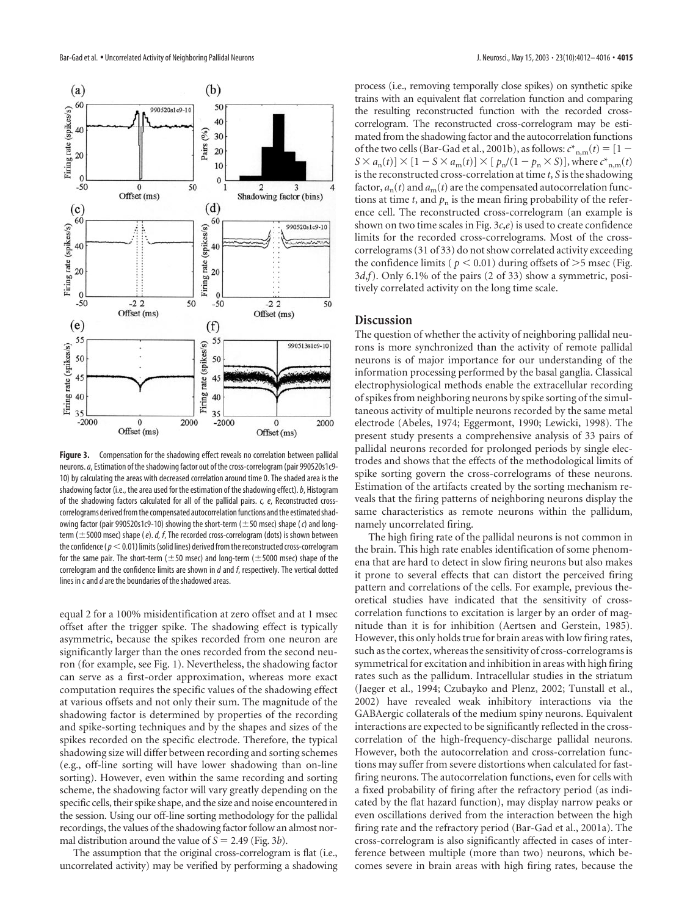

**Figure 3.** Compensation for the shadowing effect reveals no correlation between pallidal neurons.*a*, Estimation of the shadowing factor out of the cross-correlogram (pair 990520s1c9- 10) by calculating the areas with decreased correlation around time 0. The shaded area is the shadowing factor (i.e., the area used for the estimation of the shadowing effect).*b*, Histogram of the shadowing factors calculated for all of the pallidal pairs. *c, e*, Reconstructed crosscorrelograms derived from the compensated autocorrelation functions and the estimated shadowing factor (pair 990520s1c9-10) showing the short-term ( $\pm$ 50 msec) shape (*c*) and longterm ( $\pm$  5000 msec) shape (*e*). *d, f*, The recorded cross-correlogram (dots) is shown between the confidence (*p*-0.01) limits (solid lines) derived from the reconstructed cross-correlogram for the same pair. The short-term ( $\pm$ 50 msec) and long-term ( $\pm$ 5000 msec) shape of the correlogram and the confidence limits are shown in *d* and *f*, respectively. The vertical dotted lines in *c*and*d*are the boundaries of the shadowed areas.

equal 2 for a 100% misidentification at zero offset and at 1 msec offset after the trigger spike. The shadowing effect is typically asymmetric, because the spikes recorded from one neuron are significantly larger than the ones recorded from the second neuron (for example, see Fig. 1). Nevertheless, the shadowing factor can serve as a first-order approximation, whereas more exact computation requires the specific values of the shadowing effect at various offsets and not only their sum. The magnitude of the shadowing factor is determined by properties of the recording and spike-sorting techniques and by the shapes and sizes of the spikes recorded on the specific electrode. Therefore, the typical shadowing size will differ between recording and sorting schemes (e.g., off-line sorting will have lower shadowing than on-line sorting). However, even within the same recording and sorting scheme, the shadowing factor will vary greatly depending on the specific cells, their spike shape, and the size and noise encountered in the session. Using our off-line sorting methodology for the pallidal recordings, the values of the shadowing factor follow an almost normal distribution around the value of  $S = 2.49$  (Fig. 3*b*).

The assumption that the original cross-correlogram is flat (i.e., uncorrelated activity) may be verified by performing a shadowing process (i.e., removing temporally close spikes) on synthetic spike trains with an equivalent flat correlation function and comparing the resulting reconstructed function with the recorded crosscorrelogram. The reconstructed cross-correlogram may be estimated from the shadowing factor and the autocorrelation functions of the two cells (Bar-Gad et al., 2001b), as follows:  $c^*_{n,m}(t) = [1 S \times a_n(t) \times [1 - S \times a_m(t)] \times [p_n/(1 - p_n \times S)]$ , where  $c_{n,m}^*(t)$ is the reconstructed cross-correlation at time *t*, *S* is the shadowing factor,  $a_n(t)$  and  $a_m(t)$  are the compensated autocorrelation functions at time *t*, and  $p_n$  is the mean firing probability of the reference cell. The reconstructed cross-correlogram (an example is shown on two time scales in Fig. 3*c*,*e*) is used to create confidence limits for the recorded cross-correlograms. Most of the crosscorrelograms (31 of 33) do not show correlated activity exceeding the confidence limits ( $p < 0.01$ ) during offsets of  $>$ 5 msec (Fig. 3*d*,*f*). Only 6.1% of the pairs (2 of 33) show a symmetric, positively correlated activity on the long time scale.

## **Discussion**

The question of whether the activity of neighboring pallidal neurons is more synchronized than the activity of remote pallidal neurons is of major importance for our understanding of the information processing performed by the basal ganglia. Classical electrophysiological methods enable the extracellular recording of spikes from neighboring neurons by spike sorting of the simultaneous activity of multiple neurons recorded by the same metal electrode (Abeles, 1974; Eggermont, 1990; Lewicki, 1998). The present study presents a comprehensive analysis of 33 pairs of pallidal neurons recorded for prolonged periods by single electrodes and shows that the effects of the methodological limits of spike sorting govern the cross-correlograms of these neurons. Estimation of the artifacts created by the sorting mechanism reveals that the firing patterns of neighboring neurons display the same characteristics as remote neurons within the pallidum, namely uncorrelated firing.

The high firing rate of the pallidal neurons is not common in the brain. This high rate enables identification of some phenomena that are hard to detect in slow firing neurons but also makes it prone to several effects that can distort the perceived firing pattern and correlations of the cells. For example, previous theoretical studies have indicated that the sensitivity of crosscorrelation functions to excitation is larger by an order of magnitude than it is for inhibition (Aertsen and Gerstein, 1985). However, this only holds true for brain areas with low firing rates, such as the cortex, whereas the sensitivity of cross-correlograms is symmetrical for excitation and inhibition in areas with high firing rates such as the pallidum. Intracellular studies in the striatum (Jaeger et al., 1994; Czubayko and Plenz, 2002; Tunstall et al., 2002) have revealed weak inhibitory interactions via the GABAergic collaterals of the medium spiny neurons. Equivalent interactions are expected to be significantly reflected in the crosscorrelation of the high-frequency-discharge pallidal neurons. However, both the autocorrelation and cross-correlation functions may suffer from severe distortions when calculated for fastfiring neurons. The autocorrelation functions, even for cells with a fixed probability of firing after the refractory period (as indicated by the flat hazard function), may display narrow peaks or even oscillations derived from the interaction between the high firing rate and the refractory period (Bar-Gad et al., 2001a). The cross-correlogram is also significantly affected in cases of interference between multiple (more than two) neurons, which becomes severe in brain areas with high firing rates, because the